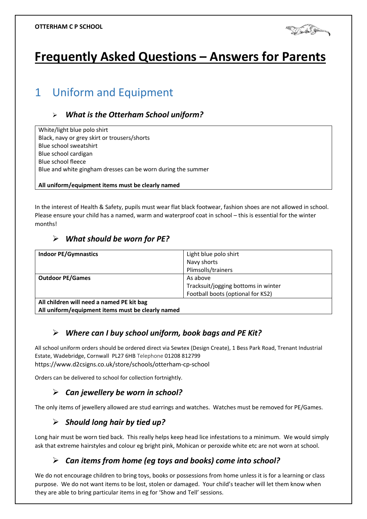

# **Frequently Asked Questions – Answers for Parents**

## 1 Uniform and Equipment

#### *What is the Otterham School uniform?*

White/light blue polo shirt Black, navy or grey skirt or trousers/shorts Blue school sweatshirt Blue school cardigan Blue school fleece Blue and white gingham dresses can be worn during the summer

**All uniform/equipment items must be clearly named**

In the interest of Health & Safety, pupils must wear flat black footwear, fashion shoes are not allowed in school. Please ensure your child has a named, warm and waterproof coat in school – this is essential for the winter months!

#### *What should be worn for PE?*

| <b>Indoor PE/Gymnastics</b>                       | Light blue polo shirt               |
|---------------------------------------------------|-------------------------------------|
|                                                   | Navy shorts                         |
|                                                   | Plimsolls/trainers                  |
| <b>Outdoor PE/Games</b>                           | As above                            |
|                                                   | Tracksuit/jogging bottoms in winter |
|                                                   | Football boots (optional for KS2)   |
| All children will need a named PE kit bag         |                                     |
| All uniform/equipment items must be clearly named |                                     |

*Where can I buy school uniform, book bags and PE Kit?*

All school uniform orders should be ordered direct via Sewtex (Design Create), 1 Bess Park Road, Trenant Industrial Estate, Wadebridge, Cornwall PL27 6HB Telephone 01208 812799 https://www.d2csigns.co.uk/store/schools/otterham-cp-school

Orders can be delivered to school for collection fortnightly.

#### *Can jewellery be worn in school?*

The only items of jewellery allowed are stud earrings and watches. Watches must be removed for PE/Games.

#### *Should long hair by tied up?*

Long hair must be worn tied back. This really helps keep head lice infestations to a minimum. We would simply ask that extreme hairstyles and colour eg bright pink, Mohican or peroxide white etc are not worn at school.

#### *Can items from home (eg toys and books) come into school?*

We do not encourage children to bring toys, books or possessions from home unless it is for a learning or class purpose. We do not want items to be lost, stolen or damaged. Your child's teacher will let them know when they are able to bring particular items in eg for 'Show and Tell' sessions.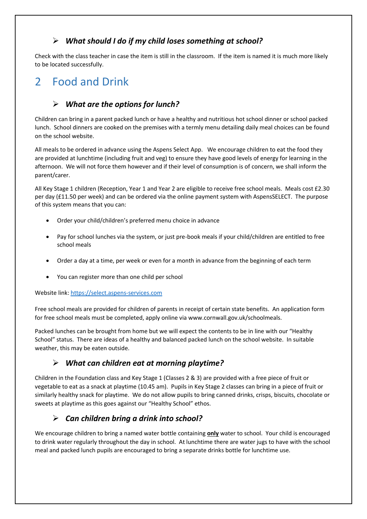#### *What should I do if my child loses something at school?*

Check with the class teacher in case the item is still in the classroom. If the item is named it is much more likely to be located successfully.

## 2 Food and Drink

## *What are the options for lunch?*

Children can bring in a parent packed lunch or have a healthy and nutritious hot school dinner or school packed lunch. School dinners are cooked on the premises with a termly menu detailing daily meal choices can be found on the school website.

All meals to be ordered in advance using the Aspens Select App. We encourage children to eat the food they are provided at lunchtime (including fruit and veg) to ensure they have good levels of energy for learning in the afternoon. We will not force them however and if their level of consumption is of concern, we shall inform the parent/carer.

All Key Stage 1 children (Reception, Year 1 and Year 2 are eligible to receive free school meals. Meals cost £2.30 per day (£11.50 per week) and can be ordered via the online payment system with AspensSELECT. The purpose of this system means that you can:

- Order your child/children's preferred menu choice in advance
- Pay for school lunches via the system, or just pre-book meals if your child/children are entitled to free school meals
- Order a day at a time, per week or even for a month in advance from the beginning of each term
- You can register more than one child per school

Website link[: https://select.aspens-services.com](https://select.aspens-services.com/)

Free school meals are provided for children of parents in receipt of certain state benefits. An application form for free school meals must be completed, apply online via www.cornwall.gov.uk/schoolmeals.

Packed lunches can be brought from home but we will expect the contents to be in line with our "Healthy School" status. There are ideas of a healthy and balanced packed lunch on the school website. In suitable weather, this may be eaten outside.

#### *What can children eat at morning playtime?*

Children in the Foundation class and Key Stage 1 (Classes 2 & 3) are provided with a free piece of fruit or vegetable to eat as a snack at playtime (10.45 am). Pupils in Key Stage 2 classes can bring in a piece of fruit or similarly healthy snack for playtime. We do not allow pupils to bring canned drinks, crisps, biscuits, chocolate or sweets at playtime as this goes against our "Healthy School" ethos.

#### *Can children bring a drink into school?*

We encourage children to bring a named water bottle containing **only** water to school. Your child is encouraged to drink water regularly throughout the day in school. At lunchtime there are water jugs to have with the school meal and packed lunch pupils are encouraged to bring a separate drinks bottle for lunchtime use.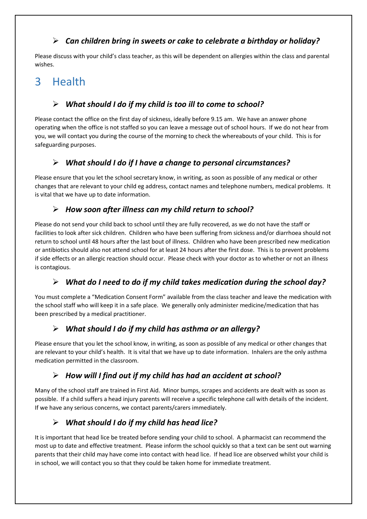#### *Can children bring in sweets or cake to celebrate a birthday or holiday?*

Please discuss with your child's class teacher, as this will be dependent on allergies within the class and parental wishes.

## 3 Health

## *What should I do if my child is too ill to come to school?*

Please contact the office on the first day of sickness, ideally before 9.15 am. We have an answer phone operating when the office is not staffed so you can leave a message out of school hours. If we do not hear from you, we will contact you during the course of the morning to check the whereabouts of your child. This is for safeguarding purposes.

## *What should I do if I have a change to personal circumstances?*

Please ensure that you let the school secretary know, in writing, as soon as possible of any medical or other changes that are relevant to your child eg address, contact names and telephone numbers, medical problems. It is vital that we have up to date information.

### *How soon after illness can my child return to school?*

Please do not send your child back to school until they are fully recovered, as we do not have the staff or facilities to look after sick children. Children who have been suffering from sickness and/or diarrhoea should not return to school until 48 hours after the last bout of illness. Children who have been prescribed new medication or antibiotics should also not attend school for at least 24 hours after the first dose. This is to prevent problems if side effects or an allergic reaction should occur. Please check with your doctor as to whether or not an illness is contagious.

## *What do I need to do if my child takes medication during the school day?*

You must complete a "Medication Consent Form" available from the class teacher and leave the medication with the school staff who will keep it in a safe place. We generally only administer medicine/medication that has been prescribed by a medical practitioner.

## *What should I do if my child has asthma or an allergy?*

Please ensure that you let the school know, in writing, as soon as possible of any medical or other changes that are relevant to your child's health. It is vital that we have up to date information. Inhalers are the only asthma medication permitted in the classroom.

#### *How will I find out if my child has had an accident at school?*

Many of the school staff are trained in First Aid. Minor bumps, scrapes and accidents are dealt with as soon as possible. If a child suffers a head injury parents will receive a specific telephone call with details of the incident. If we have any serious concerns, we contact parents/carers immediately.

## *What should I do if my child has head lice?*

It is important that head lice be treated before sending your child to school. A pharmacist can recommend the most up to date and effective treatment. Please inform the school quickly so that a text can be sent out warning parents that their child may have come into contact with head lice. If head lice are observed whilst your child is in school, we will contact you so that they could be taken home for immediate treatment.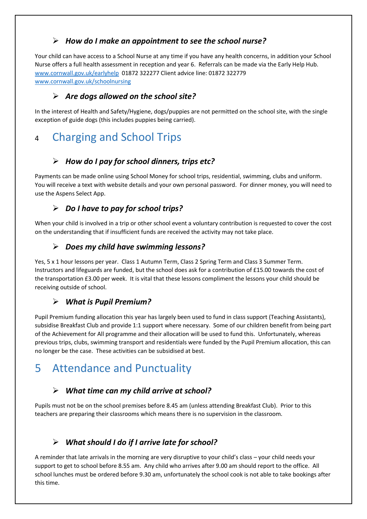#### *How do I make an appointment to see the school nurse?*

Your child can have access to a School Nurse at any time if you have any health concerns, in addition your School Nurse offers a full health assessment in reception and year 6. Referrals can be made via the Early Help Hub. [www.cornwall.gov.uk/earlyhelp](http://www.cornwall.gov.uk/earlyhelp) 01872 322277 Client advice line: 01872 322779 [www.cornwall.gov.uk/schoolnursing](http://www.cornwall.gov.uk/schoolnursing)

#### *Are dogs allowed on the school site?*

In the interest of Health and Safety/Hygiene, dogs/puppies are not permitted on the school site, with the single exception of guide dogs (this includes puppies being carried).

## <sup>4</sup> Charging and School Trips

## *How do I pay for school dinners, trips etc?*

Payments can be made online using School Money for school trips, residential, swimming, clubs and uniform. You will receive a text with website details and your own personal password. For dinner money, you will need to use the Aspens Select App.

## *Do I have to pay for school trips?*

When your child is involved in a trip or other school event a voluntary contribution is requested to cover the cost on the understanding that if insufficient funds are received the activity may not take place.

#### *Does my child have swimming lessons?*

Yes, 5 x 1 hour lessons per year. Class 1 Autumn Term, Class 2 Spring Term and Class 3 Summer Term. Instructors and lifeguards are funded, but the school does ask for a contribution of £15.00 towards the cost of the transportation £3.00 per week. It is vital that these lessons compliment the lessons your child should be receiving outside of school.

#### *What is Pupil Premium?*

Pupil Premium funding allocation this year has largely been used to fund in class support (Teaching Assistants), subsidise Breakfast Club and provide 1:1 support where necessary. Some of our children benefit from being part of the Achievement for All programme and their allocation will be used to fund this. Unfortunately, whereas previous trips, clubs, swimming transport and residentials were funded by the Pupil Premium allocation, this can no longer be the case. These activities can be subsidised at best.

## 5 Attendance and Punctuality

## *What time can my child arrive at school?*

Pupils must not be on the school premises before 8.45 am (unless attending Breakfast Club). Prior to this teachers are preparing their classrooms which means there is no supervision in the classroom.

## *What should I do if I arrive late for school?*

A reminder that late arrivals in the morning are very disruptive to your child's class – your child needs your support to get to school before 8.55 am. Any child who arrives after 9.00 am should report to the office. All school lunches must be ordered before 9.30 am, unfortunately the school cook is not able to take bookings after this time.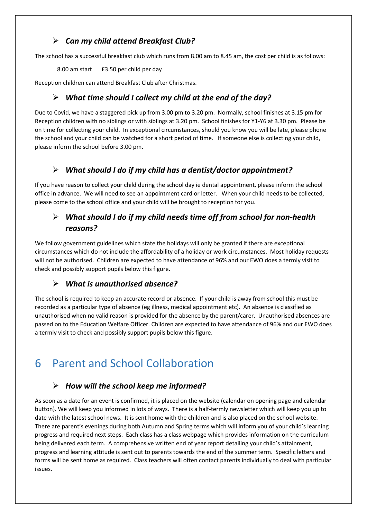### *Can my child attend Breakfast Club?*

The school has a successful breakfast club which runs from 8.00 am to 8.45 am, the cost per child is as follows:

8.00 am start £3.50 per child per day

Reception children can attend Breakfast Club after Christmas.

#### *What time should I collect my child at the end of the day?*

Due to Covid, we have a staggered pick up from 3.00 pm to 3.20 pm. Normally, school finishes at 3.15 pm for Reception children with no siblings or with siblings at 3.20 pm. School finishes for Y1-Y6 at 3.30 pm. Please be on time for collecting your child. In exceptional circumstances, should you know you will be late, please phone the school and your child can be watched for a short period of time. If someone else is collecting your child, please inform the school before 3.00 pm.

#### *What should I do if my child has a dentist/doctor appointment?*

If you have reason to collect your child during the school day ie dental appointment, please inform the school office in advance. We will need to see an appointment card or letter. When your child needs to be collected, please come to the school office and your child will be brought to reception for you.

## *What should I do if my child needs time off from school for non-health reasons?*

We follow government guidelines which state the holidays will only be granted if there are exceptional circumstances which do not include the affordability of a holiday or work circumstances. Most holiday requests will not be authorised. Children are expected to have attendance of 96% and our EWO does a termly visit to check and possibly support pupils below this figure.

#### *What is unauthorised absence?*

The school is required to keep an accurate record or absence. If your child is away from school this must be recorded as a particular type of absence (eg illness, medical appointment etc). An absence is classified as unauthorised when no valid reason is provided for the absence by the parent/carer. Unauthorised absences are passed on to the Education Welfare Officer. Children are expected to have attendance of 96% and our EWO does a termly visit to check and possibly support pupils below this figure.

## 6 Parent and School Collaboration

#### *How will the school keep me informed?*

As soon as a date for an event is confirmed, it is placed on the website (calendar on opening page and calendar button). We will keep you informed in lots of ways. There is a half-termly newsletter which will keep you up to date with the latest school news. It is sent home with the children and is also placed on the school website. There are parent's evenings during both Autumn and Spring terms which will inform you of your child's learning progress and required next steps. Each class has a class webpage which provides information on the curriculum being delivered each term. A comprehensive written end of year report detailing your child's attainment, progress and learning attitude is sent out to parents towards the end of the summer term. Specific letters and forms will be sent home as required. Class teachers will often contact parents individually to deal with particular issues.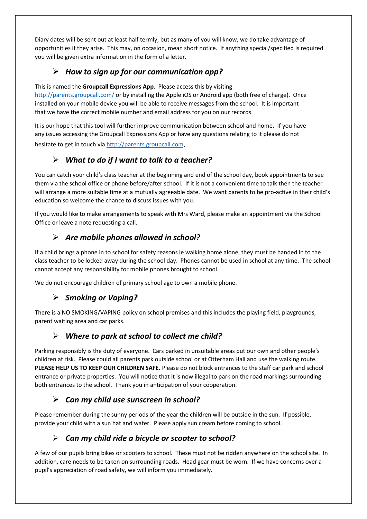Diary dates will be sent out at least half termly, but as many of you will know, we do take advantage of opportunities if they arise. This may, on occasion, mean short notice. If anything special/specified is required you will be given extra information in the form of a letter.

### *How to sign up for our communication app?*

This is named the **Groupcall Expressions App**. Please access this by visiting <http://parents.groupcall.com/> or by installing the Apple iOS or Android app (both free of charge). Once installed on your mobile device you will be able to receive messages from the school. It is important that we have the correct mobile number and email address for you on our records.

It is our hope that this tool will further improve communication between school and home. If you have any issues accessing the Groupcall Expressions App or have any questions relating to it please do not hesitate to get in touch via [http://parents.groupcall.com](http://parents.groupcall.com/).

### *What to do if I want to talk to a teacher?*

You can catch your child's class teacher at the beginning and end of the school day, book appointments to see them via the school office or phone before/after school. If it is not a convenient time to talk then the teacher will arrange a more suitable time at a mutually agreeable date. We want parents to be pro-active in their child's education so welcome the chance to discuss issues with you.

If you would like to make arrangements to speak with Mrs Ward, please make an appointment via the School Office or leave a note requesting a call.

#### *Are mobile phones allowed in school?*

If a child brings a phone in to school for safety reasons ie walking home alone, they must be handed in to the class teacher to be locked away during the school day. Phones cannot be used in school at any time. The school cannot accept any responsibility for mobile phones brought to school.

We do not encourage children of primary school age to own a mobile phone.

#### *Smoking or Vaping?*

There is a NO SMOKING/VAPING policy on school premises and this includes the playing field, playgrounds, parent waiting area and car parks.

#### *Where to park at school to collect me child?*

Parking responsibly is the duty of everyone. Cars parked in unsuitable areas put our own and other people's children at risk. Please could all parents park outside school or at Otterham Hall and use the walking route. **PLEASE HELP US TO KEEP OUR CHILDREN SAFE.** Please do not block entrances to the staff car park and school entrance or private properties. You will notice that it is now illegal to park on the road markings surrounding both entrances to the school. Thank you in anticipation of your cooperation.

#### *Can my child use sunscreen in school?*

Please remember during the sunny periods of the year the children will be outside in the sun. If possible, provide your child with a sun hat and water. Please apply sun cream before coming to school.

#### *Can my child ride a bicycle or scooter to school?*

A few of our pupils bring bikes or scooters to school. These must not be ridden anywhere on the school site. In addition, care needs to be taken on surrounding roads. Head gear must be worn. If we have concerns over a pupil's appreciation of road safety, we will inform you immediately.